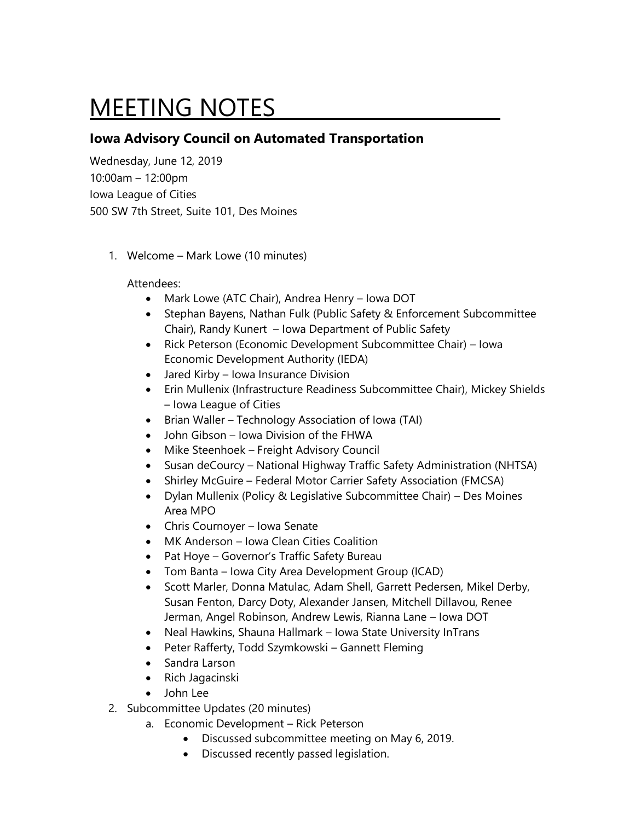## MEETING NOTES

## **Iowa Advisory Council on Automated Transportation**

Wednesday, June 12, 2019 10:00am – 12:00pm Iowa League of Cities 500 SW 7th Street, Suite 101, Des Moines

1. Welcome – Mark Lowe (10 minutes)

## Attendees:

- Mark Lowe (ATC Chair), Andrea Henry Iowa DOT
- Stephan Bayens, Nathan Fulk (Public Safety & Enforcement Subcommittee Chair), Randy Kunert – Iowa Department of Public Safety
- Rick Peterson (Economic Development Subcommittee Chair) Iowa Economic Development Authority (IEDA)
- Jared Kirby Iowa Insurance Division
- Erin Mullenix (Infrastructure Readiness Subcommittee Chair), Mickey Shields – Iowa League of Cities
- Brian Waller Technology Association of Iowa (TAI)
- John Gibson Iowa Division of the FHWA
- Mike Steenhoek Freight Advisory Council
- Susan deCourcy National Highway Traffic Safety Administration (NHTSA)
- Shirley McGuire Federal Motor Carrier Safety Association (FMCSA)
- Dylan Mullenix (Policy & Legislative Subcommittee Chair) Des Moines Area MPO
- Chris Cournoyer Iowa Senate
- MK Anderson Iowa Clean Cities Coalition
- Pat Hoye Governor's Traffic Safety Bureau
- Tom Banta Iowa City Area Development Group (ICAD)
- Scott Marler, Donna Matulac, Adam Shell, Garrett Pedersen, Mikel Derby, Susan Fenton, Darcy Doty, Alexander Jansen, Mitchell Dillavou, Renee Jerman, Angel Robinson, Andrew Lewis, Rianna Lane – Iowa DOT
- Neal Hawkins, Shauna Hallmark Iowa State University InTrans
- Peter Rafferty, Todd Szymkowski Gannett Fleming
- Sandra Larson
- Rich Jagacinski
- John Lee
- 2. Subcommittee Updates (20 minutes)
	- a. Economic Development Rick Peterson
		- Discussed subcommittee meeting on May 6, 2019.
		- Discussed recently passed legislation.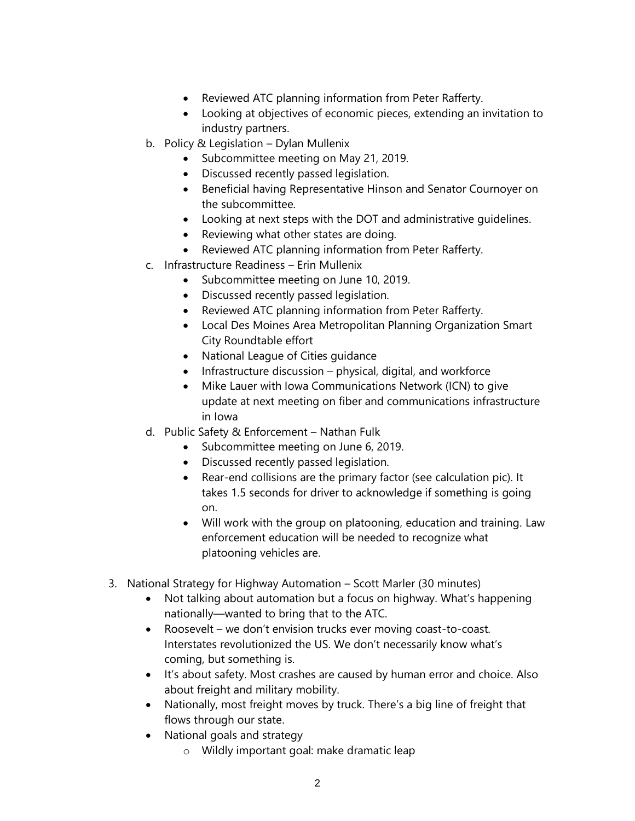- Reviewed ATC planning information from Peter Rafferty.
- Looking at objectives of economic pieces, extending an invitation to industry partners.
- b. Policy & Legislation Dylan Mullenix
	- Subcommittee meeting on May 21, 2019.
	- Discussed recently passed legislation.
	- Beneficial having Representative Hinson and Senator Cournoyer on the subcommittee.
	- Looking at next steps with the DOT and administrative guidelines.
	- Reviewing what other states are doing.
	- Reviewed ATC planning information from Peter Rafferty.
- c. Infrastructure Readiness Erin Mullenix
	- Subcommittee meeting on June 10, 2019.
	- Discussed recently passed legislation.
	- Reviewed ATC planning information from Peter Rafferty.
	- Local Des Moines Area Metropolitan Planning Organization Smart City Roundtable effort
	- National League of Cities guidance
	- Infrastructure discussion physical, digital, and workforce
	- Mike Lauer with Iowa Communications Network (ICN) to give update at next meeting on fiber and communications infrastructure in Iowa
- d. Public Safety & Enforcement Nathan Fulk
	- Subcommittee meeting on June 6, 2019.
	- Discussed recently passed legislation.
	- Rear-end collisions are the primary factor (see calculation pic). It takes 1.5 seconds for driver to acknowledge if something is going on.
	- Will work with the group on platooning, education and training. Law enforcement education will be needed to recognize what platooning vehicles are.
- 3. National Strategy for Highway Automation Scott Marler (30 minutes)
	- Not talking about automation but a focus on highway. What's happening nationally—wanted to bring that to the ATC.
	- Roosevelt we don't envision trucks ever moving coast-to-coast. Interstates revolutionized the US. We don't necessarily know what's coming, but something is.
	- It's about safety. Most crashes are caused by human error and choice. Also about freight and military mobility.
	- Nationally, most freight moves by truck. There's a big line of freight that flows through our state.
	- National goals and strategy
		- o Wildly important goal: make dramatic leap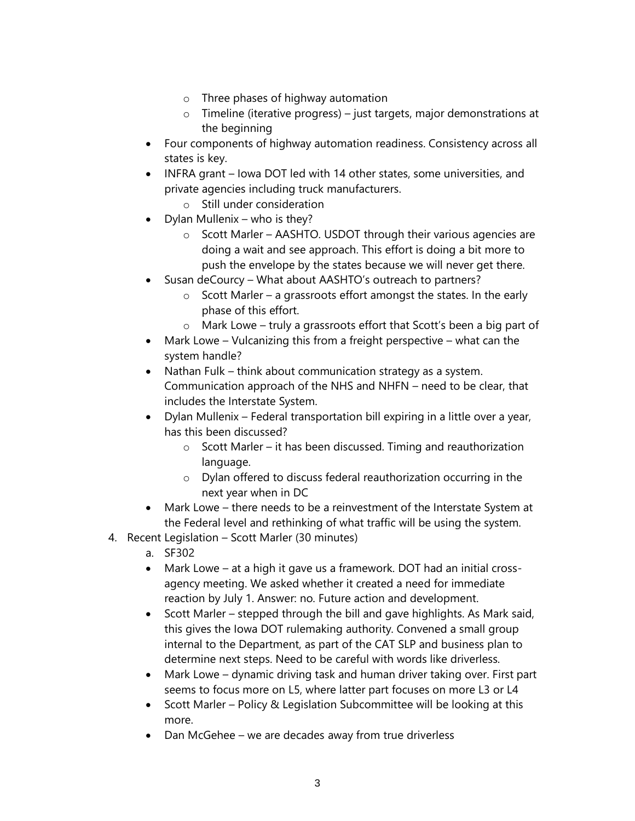- o Three phases of highway automation
- o Timeline (iterative progress) just targets, major demonstrations at the beginning
- Four components of highway automation readiness. Consistency across all states is key.
- INFRA grant Iowa DOT led with 14 other states, some universities, and private agencies including truck manufacturers.
	- o Still under consideration
- Dylan Mullenix who is they?
	- o Scott Marler AASHTO. USDOT through their various agencies are doing a wait and see approach. This effort is doing a bit more to push the envelope by the states because we will never get there.
- Susan deCourcy What about AASHTO's outreach to partners?
	- $\circ$  Scott Marler a grassroots effort amongst the states. In the early phase of this effort.
	- o Mark Lowe truly a grassroots effort that Scott's been a big part of
- Mark Lowe Vulcanizing this from a freight perspective what can the system handle?
- Nathan Fulk think about communication strategy as a system. Communication approach of the NHS and NHFN – need to be clear, that includes the Interstate System.
- Dylan Mullenix Federal transportation bill expiring in a little over a year, has this been discussed?
	- o Scott Marler it has been discussed. Timing and reauthorization language.
	- o Dylan offered to discuss federal reauthorization occurring in the next year when in DC
- Mark Lowe there needs to be a reinvestment of the Interstate System at the Federal level and rethinking of what traffic will be using the system.
- 4. Recent Legislation Scott Marler (30 minutes)
	- a. SF302
	- Mark Lowe at a high it gave us a framework. DOT had an initial crossagency meeting. We asked whether it created a need for immediate reaction by July 1. Answer: no. Future action and development.
	- Scott Marler stepped through the bill and gave highlights. As Mark said, this gives the Iowa DOT rulemaking authority. Convened a small group internal to the Department, as part of the CAT SLP and business plan to determine next steps. Need to be careful with words like driverless.
	- Mark Lowe dynamic driving task and human driver taking over. First part seems to focus more on L5, where latter part focuses on more L3 or L4
	- Scott Marler Policy & Legislation Subcommittee will be looking at this more.
	- Dan McGehee we are decades away from true driverless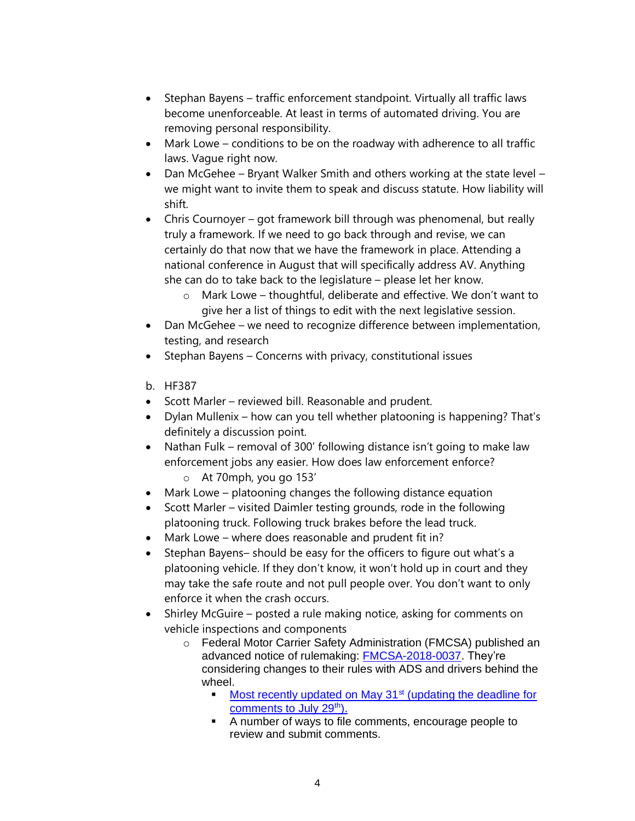- Stephan Bayens traffic enforcement standpoint. Virtually all traffic laws become unenforceable. At least in terms of automated driving. You are removing personal responsibility.
- Mark Lowe conditions to be on the roadway with adherence to all traffic laws. Vague right now.
- Dan McGehee Bryant Walker Smith and others working at the state level we might want to invite them to speak and discuss statute. How liability will shift.
- Chris Cournoyer got framework bill through was phenomenal, but really truly a framework. If we need to go back through and revise, we can certainly do that now that we have the framework in place. Attending a national conference in August that will specifically address AV. Anything she can do to take back to the legislature – please let her know.
	- o Mark Lowe thoughtful, deliberate and effective. We don't want to give her a list of things to edit with the next legislative session.
- Dan McGehee we need to recognize difference between implementation, testing, and research
- Stephan Bayens Concerns with privacy, constitutional issues
- b. HF387
- Scott Marler reviewed bill. Reasonable and prudent.
- Dylan Mullenix how can you tell whether platooning is happening? That's definitely a discussion point.
- Nathan Fulk removal of 300' following distance isn't going to make law enforcement jobs any easier. How does law enforcement enforce? o At 70mph, you go 153'
- Mark Lowe platooning changes the following distance equation
- Scott Marler visited Daimler testing grounds, rode in the following platooning truck. Following truck brakes before the lead truck.
- Mark Lowe where does reasonable and prudent fit in?
- Stephan Bayens– should be easy for the officers to figure out what's a platooning vehicle. If they don't know, it won't hold up in court and they may take the safe route and not pull people over. You don't want to only enforce it when the crash occurs.
- Shirley McGuire posted a rule making notice, asking for comments on vehicle inspections and components
	- o Federal Motor Carrier Safety Administration (FMCSA) published an advanced notice of rulemaking: [FMCSA-2018-0037.](https://www.govinfo.gov/content/pkg/FR-2019-05-28/pdf/2019-11038.pdf) They're considering changes to their rules with ADS and drivers behind the wheel.
		- $\blacksquare$  [Most recently updated on May 31](https://www.federalregister.gov/documents/2019/05/31/2019-11387/safe-integration-of-automated-driving-systems-equipped-commercial-motor-vehicles-correction?utm_campaign=subscription%20mailing%20list&utm_source=federalregister.gov&utm_medium=email) $\mathrm{st}$  (updating the deadline for [comments to July 29](https://www.federalregister.gov/documents/2019/05/31/2019-11387/safe-integration-of-automated-driving-systems-equipped-commercial-motor-vehicles-correction?utm_campaign=subscription%20mailing%20list&utm_source=federalregister.gov&utm_medium=email)<sup>th</sup>).
		- A number of ways to file comments, encourage people to review and submit comments.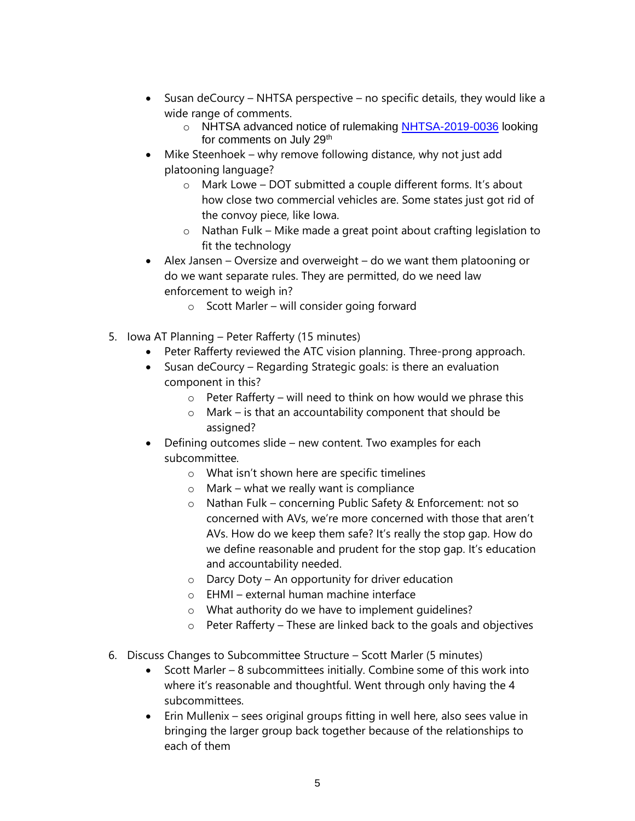- Susan deCourcy NHTSA perspective no specific details, they would like a wide range of comments.
	- o NHTSA advanced notice of rulemaking [NHTSA-2019-0036](https://www.govinfo.gov/content/pkg/FR-2019-05-28/pdf/2019-11032.pdf) looking for comments on July 29<sup>th</sup>
- Mike Steenhoek why remove following distance, why not just add platooning language?
	- o Mark Lowe DOT submitted a couple different forms. It's about how close two commercial vehicles are. Some states just got rid of the convoy piece, like Iowa.
	- o Nathan Fulk Mike made a great point about crafting legislation to fit the technology
- Alex Jansen Oversize and overweight do we want them platooning or do we want separate rules. They are permitted, do we need law enforcement to weigh in?
	- o Scott Marler will consider going forward
- 5. Iowa AT Planning Peter Rafferty (15 minutes)
	- Peter Rafferty reviewed the ATC vision planning. Three-prong approach.
	- Susan deCourcy Regarding Strategic goals: is there an evaluation component in this?
		- $\circ$  Peter Rafferty will need to think on how would we phrase this
		- o Mark is that an accountability component that should be assigned?
	- Defining outcomes slide new content. Two examples for each subcommittee.
		- o What isn't shown here are specific timelines
		- $\circ$  Mark what we really want is compliance
		- o Nathan Fulk concerning Public Safety & Enforcement: not so concerned with AVs, we're more concerned with those that aren't AVs. How do we keep them safe? It's really the stop gap. How do we define reasonable and prudent for the stop gap. It's education and accountability needed.
		- $\circ$  Darcy Doty An opportunity for driver education
		- o EHMI external human machine interface
		- o What authority do we have to implement guidelines?
		- $\circ$  Peter Rafferty These are linked back to the goals and objectives
- 6. Discuss Changes to Subcommittee Structure Scott Marler (5 minutes)
	- Scott Marler 8 subcommittees initially. Combine some of this work into where it's reasonable and thoughtful. Went through only having the 4 subcommittees.
	- Erin Mullenix sees original groups fitting in well here, also sees value in bringing the larger group back together because of the relationships to each of them